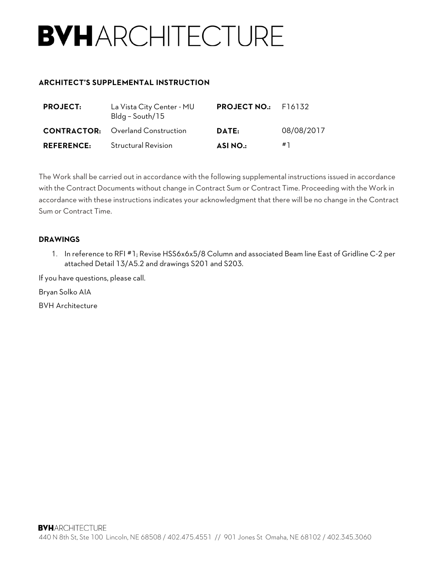# **BVHARCHITECTURE**

#### **ARCHITECT'S SUPPLEMENTAL INSTRUCTION**

| <b>PROJECT:</b>   | La Vista City Center - MU<br>Bldg - South/15 | <b>PROJECT NO.:</b> F16132 |            |
|-------------------|----------------------------------------------|----------------------------|------------|
|                   | <b>CONTRACTOR:</b> Overland Construction     | DATE:                      | 08/08/2017 |
| <b>REFERENCE:</b> | <b>Structural Revision</b>                   | <b>ASINO.:</b>             | #1         |

The Work shall be carried out in accordance with the following supplemental instructions issued in accordance with the Contract Documents without change in Contract Sum or Contract Time. Proceeding with the Work in accordance with these instructions indicates your acknowledgment that there will be no change in the Contract Sum or Contract Time.

#### **DRAWINGS**

1. In reference to RFI #1; Revise HSS6x6x5/8 Column and associated Beam line East of Gridline C-2 per attached Detail 13/A5.2 and drawings S201 and S203.

If you have questions, please call.

Bryan Solko AIA

BVH Architecture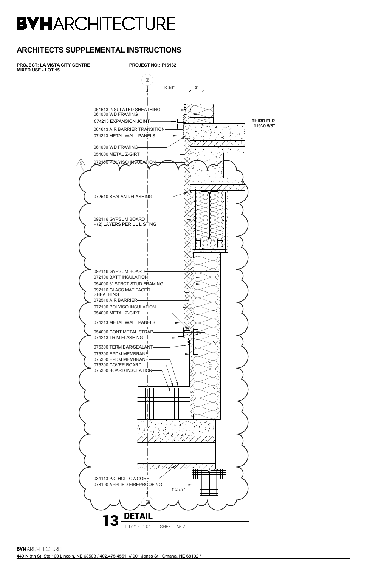440 N 8th St. Ste 100 Lincoln, NE 68508 / 402.475.4551 // 901 Jones St. Omaha, NE 68102 /

**PROJECT NO.: F16132 2** 10 3/8" 3" 061613 INSULATED SHEATHING 061000 WD FRAMING 074213 EXPANSION JOINT **THIRD FLR 119'-0 5/8"**  $\overline{A}$  $\left(\begin{array}{c} \bullet & \bullet \\ \bullet & \bullet \end{array}\right)$  $\ddot{\phantom{0}}$ 061613 AIR BARRIER TRANSITION 074213 METAL WALL PANELS 061000 WD FRAMING 054000 METAL Z-GIRT  $\overline{\mathbf{A}}$ 072100 POLYISO INSULATION 5  $\mathbb{Z}^{\times}$ 072510 SEALANT/FLASHING 092116 GYPSUM BOARD - (2) LAYERS PER UL LISTING 092116 GYPSUM BOARD 072100 BATT INSULATION 054000 6" STRCT STUD FRAMING 092116 GLASS MAT FACED SHEATHING 072510 AIR BARRIER 072100 POLYISO INSULATION 054000 METAL Z-GIRT 074213 METAL WALL PANELS 054000 CONT METAL STRAP  $\bigtriangledown$ 074213 TRIM FLASHING 075300 TERM BAR/SEALANT 075300 EPDM MEMBRANE 075300 EPDM MEMBRANE 075300 COVER BOARD  $\ddot{\tau}$ 075300 BOARD INSULATION  $\Box$ T 1 1 1 1 TT  $\blacksquare$ 

**PROJECT: LA VISTA CITY CENTRE MIXED USE - LOT 15**

# **BVHARCHITECTURE**

### **ARCHITECTS SUPPLEMENTAL INSTRUCTIONS**



**BVHARCHITECTURE**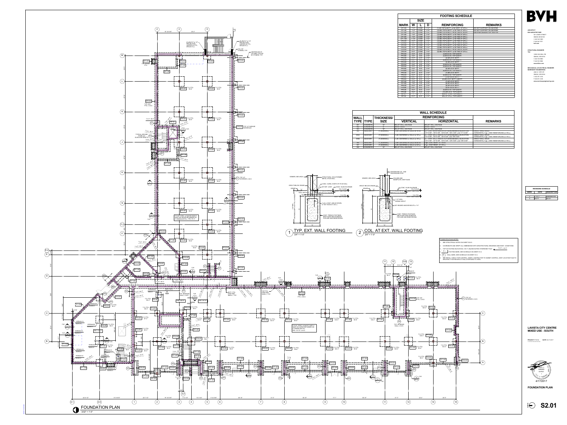**PROJECT: F16132 DATE: 04.17.2017** © COPYRIGHT BVH ARCHITECTURE

2. COORDINATE AND VERIFY ALL DIMENSIONS WITH ARCHITECTURAL DRAWINGS AND EXIST. CONDITIONS.

SEE DETAIL 13/S5.01 FOR CONTROL JOINTS. CONTRACTOR TO SUBMIT CONTROL JOINT LOCATION PLAN TO

**ARCHITECT BVH ARCHITECTURE bvh.com** 901 JONES STREET OMAHA NE 68102 V 402 345 3060 F 402 345 7871



**STRUCTURAL ENGINEER TD2** 10836 OLD MILL RD OMAHA, NE 68154 V 402 330 8860

F 402 330 5866 **www.td2co.com MECHANICAL & ELECTRICAL ENGINEER MORRISSEY ENGINEERING** 4940 N 118TH ST.



OMAHA, NE 68164 V 402 491 4144 F 402 491 4146 **www.morrisseyengineering.com**

**LAVISTA CITY CENTRE MIXED USE - SOUTH**

**FOUNDATION PLAN**



|                     |             |            |                                 | F(           |
|---------------------|-------------|------------|---------------------------------|--------------|
|                     | <b>SIZE</b> |            |                                 |              |
| <b>MARK</b>         | W           |            | D                               | F            |
| CF1-0H              | $1' - 0''$  | CONT.      | $3' - 2"$                       | $(1)$ -#5 T  |
| CF1-4D              | $1' - 4"$   | CONT.      | $2' - 0''$                      | $(2)$ -#5's  |
| CF1-4H              | $1' - 4"$   | CONT.      | $3' - 2"$                       | $(2) - #6's$ |
| CF <sub>1-8</sub> D | $1' - 8"$   | CONT.      | $2' - 0''$                      | $(2)$ -#6's  |
| CF1-8H              | $1 - 8"$    | CONT.      | $3' - 2"$                       | $(2)$ -#6's  |
| <b>CF1-10H</b>      | $1' - 10"$  | CONT.      | $3' - 2''$                      | $(2)$ -#6's  |
| CF2-0H              | $2' - 0''$  | CONT.      | $3' - 2"$                       | $(2)$ -#6's  |
| CF3-0D              | $3' - 0''$  | CONT.      | 2'-0"                           | $(3)$ -#6's  |
| CF3-0H              | $3' - 0''$  | CONT.      | $3' - 2"$                       | $(3)$ -#6's  |
| CF4-0H              | $4 - 0"$    | CONT.      | $3' - 2"$                       | $(2)$ -#6's  |
| CF5-0H              | $5' - 0''$  | CONT.      | $3' - 2''$                      | $(5)$ -#6's  |
| CF6-0H              | $6' - 0''$  | CONT.      | $3' - 2"$                       | $(6)$ -#6's  |
| PF3-0H              | $3' - 0''$  | $3' - 0''$ | $3' - 2"$                       |              |
| PF3-6D              | $3' - 6"$   | $3' - 6"$  | $2' - 0''$                      |              |
| PF4-0D              | 4'-0"       | 4'-0"      | $2' - 0''$                      |              |
| PF4-0H              | $4' - 0''$  | $4' - 0''$ | $3' - 2"$                       |              |
| <b>PF4-6D</b>       | $4' - 6''$  | $4 - 6"$   | $2' - 0''$                      |              |
| PF4-6H              | $4' - 6''$  | $4' - 6"$  | $3' - 2"$                       |              |
| <b>PF5-0H</b>       | $5' - 0''$  | $5' - 0''$ | $3' - 2"$                       |              |
| <b>PF5-6D</b>       | $5' - 6"$   | $5' - 6"$  | $2' - 0''$                      |              |
| <b>PF5-6H</b>       | $5' - 6"$   | $5' - 6"$  | $3' - 2"$                       |              |
| PF6-0D              | $6' - 0''$  | $6' - 0''$ | $2' - 0''$                      |              |
| PF6-0H              | $6' - 0''$  | $6' - 0''$ | $3' - 2"$                       |              |
| PF6-6D              | $6' - 6''$  | $6' - 6"$  | $2' - 0''$                      |              |
| PF6-6H              | $6' - 6''$  | $6' - 6"$  | $3' - 2"$                       | (            |
| PF7-0D              | $7' - 0''$  | $7' - 0''$ | $2' - 0''$                      |              |
| PF7-6D              | $7' - 6"$   | $7' - 6"$  | $2' - 0''$                      |              |
| PF8-0D              | $8' - 0''$  | $8' - 0''$ | $2' - 0''$                      |              |
| <b>PF8-6K</b>       | $8' - 6"$   | $8' - 6"$  | $2^{\prime} - 3^{\prime\prime}$ |              |
| PF9-0K              | $9' - 0''$  | $9' - 0''$ | $2' - 3''$                      |              |
| PF9-6E              | $9' - 6''$  | $9' - 6''$ | $2' - 6"$                       |              |
| <b>RF101</b>        |             |            | $2^{\prime} - 3^{\prime\prime}$ | ħ            |
| <b>RF102</b>        | $6' - 0''$  | $8' - 0''$ | $3' - 2"$                       | #            |

| <b>FOOTING SCHEDULE</b>                            |                              |  |  |  |
|----------------------------------------------------|------------------------------|--|--|--|
|                                                    |                              |  |  |  |
| <b>REINFORCING</b>                                 | <b>REMARKS</b>               |  |  |  |
| 5 TOP & BOTT. w/ #4 VERT. AT 32"o.c.               | -DO NOT SUPPORT ON GEOPIER   |  |  |  |
| 5's TOP & BOTT. w/ #3 TIES AT 48"o.c.              | -DO NOT SUPPORT ON GEOPIER   |  |  |  |
| 6's TOP & BOTT. w/ #3 TIES AT 48"o.c.              | -GEOPIER DESIGN FOR 1500 PSF |  |  |  |
| <sup>ь</sup> б's TOP & BOTT. w/ #3 TIES AT 48"о.с. |                              |  |  |  |
| 6's TOP & BOTT. w/ #3 TIES AT 48"o.c.              |                              |  |  |  |
| 6's TOP & BOTT. w/ #3 TIES AT 48"o.c.              |                              |  |  |  |
| 6's TOP & BOTT. w/ #3 TIES AT 48"o.c.              |                              |  |  |  |
| 6's TOP & BOTT. w/ #3 TIES AT 48"o.c.              |                              |  |  |  |
| 6's TOP & BOTT. w/ #3 TIES AT 48"o.c.              |                              |  |  |  |
| 6's TOP & BOTT. w/ #3 TIES AT 48"o.c.              |                              |  |  |  |
| <sup>ь</sup> б's TOP & BOTT. w/ #3 TIES AT 24"о.с. |                              |  |  |  |
| 6's TOP & BOTT. w/ #3 TIES AT 24"o.c.              |                              |  |  |  |
| (3)-#4's E.W. TOP & BOTT.                          |                              |  |  |  |
| (4)-#4's E.W. TOP & BOTT.                          |                              |  |  |  |
| (4)-#4's E.W. BOTT.                                |                              |  |  |  |
| (4)-#5's E.W. TOP & BOTT.                          |                              |  |  |  |
| (5)-#5's E.W. BOTT.                                |                              |  |  |  |
| (5)-#4's E.W. TOP & BOTT.                          |                              |  |  |  |
| (5)-#5's E.W. TOP & BOTT.                          |                              |  |  |  |
| (6)-#4's E.W. BOTT.                                |                              |  |  |  |
| (6)-#4's E.W. TOP & BOTT.                          |                              |  |  |  |
| (7)-#6's E.W. BOTT.                                |                              |  |  |  |
| (6)-#6's E.W. TOP & BOTT.                          |                              |  |  |  |
| (7)-#7's E.W. BOTT.                                |                              |  |  |  |
| (8)-#6's E.W. BOTT. & BOTT.                        |                              |  |  |  |
| (7)-#7's E.W. BOTT.                                |                              |  |  |  |
| (8)-#7's E.W. BOTT.                                |                              |  |  |  |
| (9)-#7's E.W. BOTT.                                |                              |  |  |  |
| (9)-#7's E.W. BOTT.                                |                              |  |  |  |
| (9)-#8's E.W. TOP & BOTT.                          |                              |  |  |  |
| (10)-#8's E.W. TOP & BOTT.                         |                              |  |  |  |
| #5's AT 12"o.c. TOP & BOTT.                        |                              |  |  |  |
|                                                    |                              |  |  |  |



|                | <b>WALL SCHEDULE</b> |                   |                                                                     |                                                                                                                              |                                                                          |  |
|----------------|----------------------|-------------------|---------------------------------------------------------------------|------------------------------------------------------------------------------------------------------------------------------|--------------------------------------------------------------------------|--|
| <b>WALL</b>    |                      | <b>THICKNESS/</b> |                                                                     | <b>REINFORCING</b>                                                                                                           |                                                                          |  |
|                | <b>TYPE TYPE</b>     | <b>SIZE</b>       | <b>VERTICAL</b>                                                     | <b>HORIZONTAL</b>                                                                                                            | <b>REMARKS</b>                                                           |  |
| W1             | <b>CONCRETE</b>      | 12"               | #5's AT 18"o.c. EA.FACE                                             | #5's AT 18"o.c. EA.FACE                                                                                                      |                                                                          |  |
| W <sub>2</sub> | CONCRETE             | 8"                | #5's AT 18"o.c.                                                     | #5's AT 18"o.c.                                                                                                              |                                                                          |  |
| W <sub>3</sub> | <b>CONCRETE</b>      | 16"               | #5's AT 18"o.c. EA.FACE                                             | #5's AT 18" o.c. EA. FACE                                                                                                    |                                                                          |  |
| W4             | <b>MASONRY</b>       | 8" [NOMINAL]      | (1)-#5 CENTERED in CELLS at 16"o.c                                  | (2) - CONT. #4's in KNOCK-OUT BOND BEAMS at ELEVATION<br>127'-8 5/8", 139'-0 5/8", 149'-8 5/8", 160'-4 5/8", and 171'-8 5/8" | - GROUT WALL SOLID<br>HORIZONTAL 9 ga. JOINT REINFORCING at 16"o.c.      |  |
| W5A            | <b>MASONRY</b>       | 8" [NOMINAL]      | (1)-#5 CENTERED in CELLS at 16"o.c                                  | (2) - CONT. #4's in KNOCK-OUT BOND BEAMS at ELEVATION<br>127'-8 5/8", 139'-0 5/8", 149'-8 5/8", and 159'-8 5/8"              | - GROUT WALL SOLID<br>HORIZONTAL 9 ga. JOINT REINFORCING at 16"o.c.      |  |
| W5B            | <b>MASONRY</b>       | 8" [NOMINAL]      | (1)-#5 CENTERED in CELLS at 16"o.c                                  | (2) - CONT. #4's in KNOCK-OUT BOND BEAMS at ELEVATION<br>123'-0 5/8", 127'-8 5/8", 139'-0 5/8", 149'-8 5/8", and 159'-8 5/8" | <b>GROUT WALL SOLID</b><br>HORIZONTAL 9 ga. JOINT REINFORCING at 16"o.c. |  |
| W6             | <b>MASONRY</b>       | 8" [NOMINAL]      | (1)-#4 CENTERED in CELLS at 48"o.c<br>9 ga. JOINT REINF. AT 16"o.c. |                                                                                                                              |                                                                          |  |
| W7             | <b>MASONRY</b>       | 8" [NOMINAL]      | (1)-#5 CENTERED in CELLS at 32"o.c<br>9 ga. JOINT REINF. AT 16"o.c. |                                                                                                                              |                                                                          |  |
| W8             | <b>CONCRETE</b>      | 12"               | #6's AT 12" o.c. EA. FACE                                           | #5's AT 18"o.c. EA.FACE                                                                                                      |                                                                          |  |

| <b>REVISIONS SCHEDULE</b> |                                   |             |  |  |  |
|---------------------------|-----------------------------------|-------------|--|--|--|
| <b>MARK</b>               | <b>DESCRIPTION</b><br><b>DATE</b> |             |  |  |  |
|                           |                                   |             |  |  |  |
| 2                         | 7/18/17                           | Addendum #4 |  |  |  |
| ว                         | 8/2/17                            | ASI 01      |  |  |  |